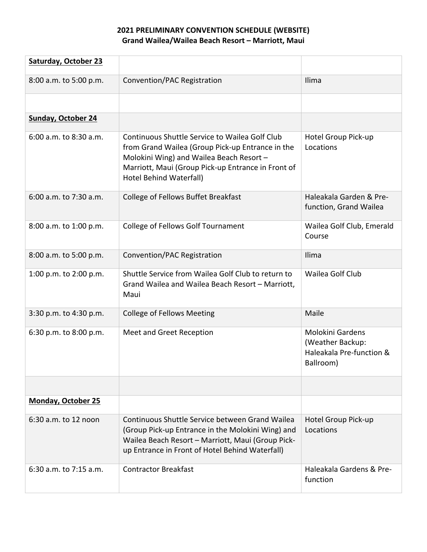## **2021 PRELIMINARY CONVENTION SCHEDULE (WEBSITE) Grand Wailea/Wailea Beach Resort – Marriott, Maui**

| <b>Saturday, October 23</b> |                                                                                                                                                                                                                                 |                                                                                      |
|-----------------------------|---------------------------------------------------------------------------------------------------------------------------------------------------------------------------------------------------------------------------------|--------------------------------------------------------------------------------------|
| 8:00 a.m. to 5:00 p.m.      | Convention/PAC Registration                                                                                                                                                                                                     | Ilima                                                                                |
|                             |                                                                                                                                                                                                                                 |                                                                                      |
| <b>Sunday, October 24</b>   |                                                                                                                                                                                                                                 |                                                                                      |
| 6:00 a.m. to 8:30 a.m.      | Continuous Shuttle Service to Wailea Golf Club<br>from Grand Wailea (Group Pick-up Entrance in the<br>Molokini Wing) and Wailea Beach Resort -<br>Marriott, Maui (Group Pick-up Entrance in Front of<br>Hotel Behind Waterfall) | Hotel Group Pick-up<br>Locations                                                     |
| 6:00 a.m. to 7:30 a.m.      | College of Fellows Buffet Breakfast                                                                                                                                                                                             | Haleakala Garden & Pre-<br>function, Grand Wailea                                    |
| 8:00 a.m. to 1:00 p.m.      | <b>College of Fellows Golf Tournament</b>                                                                                                                                                                                       | Wailea Golf Club, Emerald<br>Course                                                  |
| 8:00 a.m. to 5:00 p.m.      | Convention/PAC Registration                                                                                                                                                                                                     | Ilima                                                                                |
| 1:00 p.m. to 2:00 p.m.      | Shuttle Service from Wailea Golf Club to return to<br>Grand Wailea and Wailea Beach Resort - Marriott,<br>Maui                                                                                                                  | Wailea Golf Club                                                                     |
| 3:30 p.m. to 4:30 p.m.      | <b>College of Fellows Meeting</b>                                                                                                                                                                                               | Maile                                                                                |
| 6:30 p.m. to 8:00 p.m.      | Meet and Greet Reception                                                                                                                                                                                                        | <b>Molokini Gardens</b><br>(Weather Backup:<br>Haleakala Pre-function &<br>Ballroom) |
|                             |                                                                                                                                                                                                                                 |                                                                                      |
| <b>Monday, October 25</b>   |                                                                                                                                                                                                                                 |                                                                                      |
| 6:30 a.m. to 12 noon        | Continuous Shuttle Service between Grand Wailea<br>(Group Pick-up Entrance in the Molokini Wing) and<br>Wailea Beach Resort - Marriott, Maui (Group Pick-<br>up Entrance in Front of Hotel Behind Waterfall)                    | Hotel Group Pick-up<br>Locations                                                     |
| $6:30$ a.m. to 7:15 a.m.    | <b>Contractor Breakfast</b>                                                                                                                                                                                                     | Haleakala Gardens & Pre-<br>function                                                 |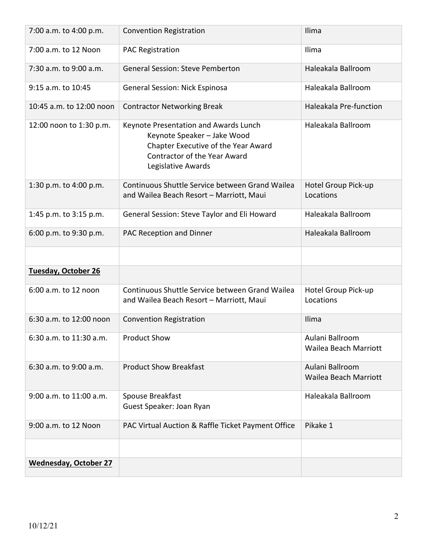| 7:00 a.m. to 4:00 p.m.       | <b>Convention Registration</b>                                                                                                                                           | Ilima                                    |
|------------------------------|--------------------------------------------------------------------------------------------------------------------------------------------------------------------------|------------------------------------------|
| 7:00 a.m. to 12 Noon         | <b>PAC Registration</b>                                                                                                                                                  | Ilima                                    |
| 7:30 a.m. to 9:00 a.m.       | <b>General Session: Steve Pemberton</b>                                                                                                                                  | Haleakala Ballroom                       |
| 9:15 a.m. to 10:45           | <b>General Session: Nick Espinosa</b>                                                                                                                                    | Haleakala Ballroom                       |
| 10:45 a.m. to 12:00 noon     | <b>Contractor Networking Break</b>                                                                                                                                       | Haleakala Pre-function                   |
| 12:00 noon to 1:30 p.m.      | Keynote Presentation and Awards Lunch<br>Keynote Speaker - Jake Wood<br>Chapter Executive of the Year Award<br><b>Contractor of the Year Award</b><br>Legislative Awards | Haleakala Ballroom                       |
| 1:30 p.m. to 4:00 p.m.       | Continuous Shuttle Service between Grand Wailea<br>and Wailea Beach Resort - Marriott, Maui                                                                              | Hotel Group Pick-up<br>Locations         |
| 1:45 p.m. to 3:15 p.m.       | General Session: Steve Taylor and Eli Howard                                                                                                                             | Haleakala Ballroom                       |
| 6:00 p.m. to 9:30 p.m.       | PAC Reception and Dinner                                                                                                                                                 | Haleakala Ballroom                       |
|                              |                                                                                                                                                                          |                                          |
| Tuesday, October 26          |                                                                                                                                                                          |                                          |
| 6:00 a.m. to 12 noon         | Continuous Shuttle Service between Grand Wailea<br>and Wailea Beach Resort - Marriott, Maui                                                                              | Hotel Group Pick-up<br>Locations         |
| 6:30 a.m. to 12:00 noon      | <b>Convention Registration</b>                                                                                                                                           | Ilima                                    |
| 6:30 a.m. to 11:30 a.m.      | <b>Product Show</b>                                                                                                                                                      | Aulani Ballroom<br>Wailea Beach Marriott |
| 6:30 a.m. to 9:00 a.m.       | <b>Product Show Breakfast</b>                                                                                                                                            | Aulani Ballroom<br>Wailea Beach Marriott |
| 9:00 a.m. to 11:00 a.m.      | Spouse Breakfast<br>Guest Speaker: Joan Ryan                                                                                                                             | Haleakala Ballroom                       |
| 9:00 a.m. to 12 Noon         | PAC Virtual Auction & Raffle Ticket Payment Office                                                                                                                       | Pikake 1                                 |
|                              |                                                                                                                                                                          |                                          |
| <b>Wednesday, October 27</b> |                                                                                                                                                                          |                                          |